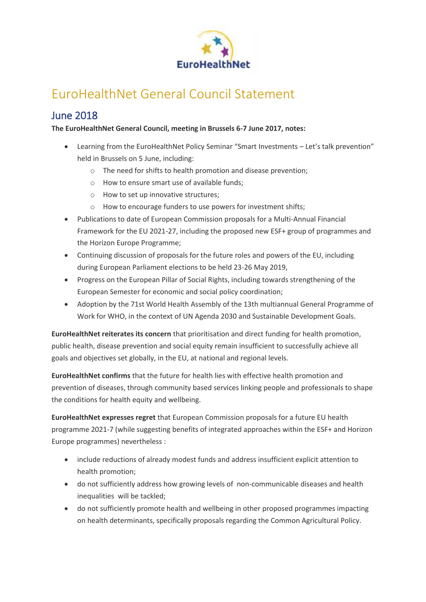

# EuroHealthNet General Council Statement

## June 2018

#### **The EuroHealthNet General Council, meeting in Brussels 6-7 June 2017, notes:**

- Learning from the EuroHealthNet Policy Seminar "Smart Investments Let's talk prevention" held in Brussels on 5 June, including:
	- o The need for shifts to health promotion and disease prevention;
	- o How to ensure smart use of available funds;
	- o How to set up innovative structures;
	- o How to encourage funders to use powers for investment shifts;
- Publications to date of European Commission proposals for a Multi-Annual Financial Framework for the EU 2021-27, including the proposed new ESF+ group of programmes and the Horizon Europe Programme;
- Continuing discussion of proposals for the future roles and powers of the EU, including during European Parliament elections to be held 23-26 May 2019,
- Progress on the European Pillar of Social Rights, including towards strengthening of the European Semester for economic and social policy coordination;
- Adoption by the 71st World Health Assembly of the 13th multiannual General Programme of Work for WHO, in the context of UN Agenda 2030 and Sustainable Development Goals.

**EuroHealthNet reiterates its concern** that prioritisation and direct funding for health promotion, public health, disease prevention and social equity remain insufficient to successfully achieve all goals and objectives set globally, in the EU, at national and regional levels.

**EuroHealthNet confirms** that the future for health lies with effective health promotion and prevention of diseases, through community based services linking people and professionals to shape the conditions for health equity and wellbeing.

**EuroHealthNet expresses regret** that European Commission proposals for a future EU health programme 2021-7 (while suggesting benefits of integrated approaches within the ESF+ and Horizon Europe programmes) nevertheless :

- include reductions of already modest funds and address insufficient explicit attention to health promotion;
- do not sufficiently address how growing levels of non-communicable diseases and health inequalities will be tackled;
- do not sufficiently promote health and wellbeing in other proposed programmes impacting on health determinants, specifically proposals regarding the Common Agricultural Policy.